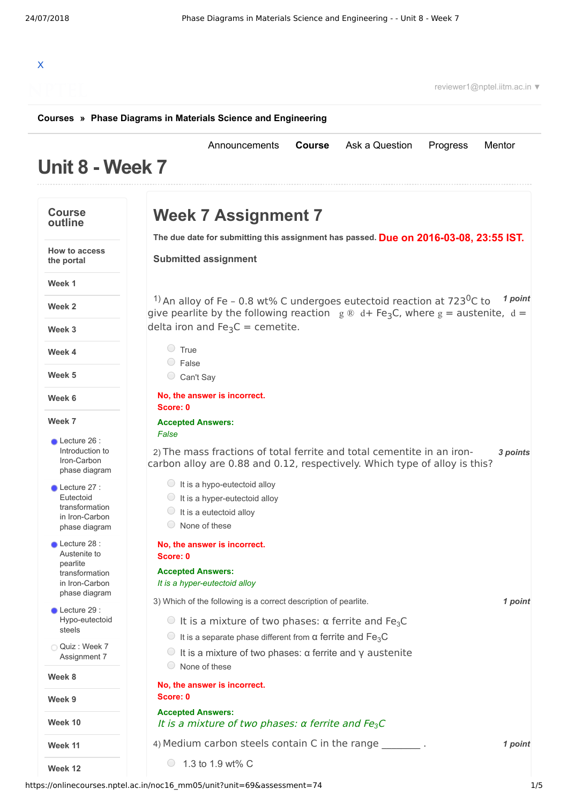[Announcements](https://onlinecourses.nptel.ac.in/noc16_mm05/announcements) **[Course](https://onlinecourses.nptel.ac.in/noc16_mm05/course)** [Ask a Question](https://onlinecourses.nptel.ac.in/noc16_mm05/forum) [Progress](https://onlinecourses.nptel.ac.in/noc16_mm05/student/home) [Mentor](https://onlinecourses.nptel.ac.in/noc16_mm05/student/mentor)

## X

reviewer1@nptel.iitm.ac.in ▼

## **[Courses](https://onlinecourses.nptel.ac.in/) » [Phase Diagrams in Materials Science and Engineering](https://onlinecourses.nptel.ac.in/noc16_mm05/course)**

## **Unit 8 - Week 7**

## **Course outline How to access the portal Week 1 Week 2 Week 3 Week 4 Week 5 Week 6 Week 7 Week 8 Week 9 Week 10 Week 11 Week 12** Lecture 26 : Introduction to [Iron-Carbon](https://onlinecourses.nptel.ac.in/noc16_mm05/unit?unit=69&lesson=70) phase diagram **Lecture 27 :** Eutectoid [transformation](https://onlinecourses.nptel.ac.in/noc16_mm05/unit?unit=69&lesson=71) in Iron-Carbon phase diagram Lecture 28 : Austenite to pearlite [transformation](https://onlinecourses.nptel.ac.in/noc16_mm05/unit?unit=69&lesson=72) in Iron-Carbon phase diagram Lecture 29 : [Hypo-eutectoid](https://onlinecourses.nptel.ac.in/noc16_mm05/unit?unit=69&lesson=73) steels Ouiz : Week 7 [Assignment](https://onlinecourses.nptel.ac.in/noc16_mm05/assessment?name=74) 7 **Due on 2016-03-08, 23:55 IST. The due date for submitting this assignment has passed.** <sup>1)</sup> An alloy of Fe - 0.8 wt% C undergoes eutectoid reaction at 723<sup>0</sup>C to <sup>1</sup> point 2) The mass fractions of total ferrite and total cementite in an iron-<br>3 points 3) *1 point* Which of the following is a correct description of pearlite. 4) Medium carbon steels contain C in the range \_\_\_\_\_\_\_\_\_\_. **1** point **Week 7 Assignment 7 Submitted assignment** give pearlite by the following reaction  $g \otimes d + Fe_3C$ , where  $g =$  austenite,  $d =$ delta iron and Fe<sub>3</sub>C = cemetite.  $\circ$  True False Can't Say **No, the answer is incorrect. Score: 0 Accepted Answers:** *False* carbon alloy are 0.88 and 0.12, respectively. Which type of alloy is this?  $\bigcirc$  It is a hypo-eutectoid alloy  $\bigcirc$  It is a hyper-eutectoid alloy  $\bigcirc$  It is a eutectoid alloy None of these **No, the answer is incorrect. Score: 0 Accepted Answers:** *It is a hyper-eutectoid alloy*  $\circ$  It is a mixture of two phases: α ferrite and Fe<sub>3</sub>C  $\bigcirc$  It is a separate phase different from α ferrite and Fe<sub>3</sub>C  $\bigcirc$  It is a mixture of two phases: α ferrite and γ austenite None of these **No, the answer is incorrect. Score: 0 Accepted Answers:** It is <sup>a</sup> mixture of two phases: <sup>α</sup> ferrite and Fe*3*<sup>C</sup>  $\circ$  1.3 to 1.9 wt% C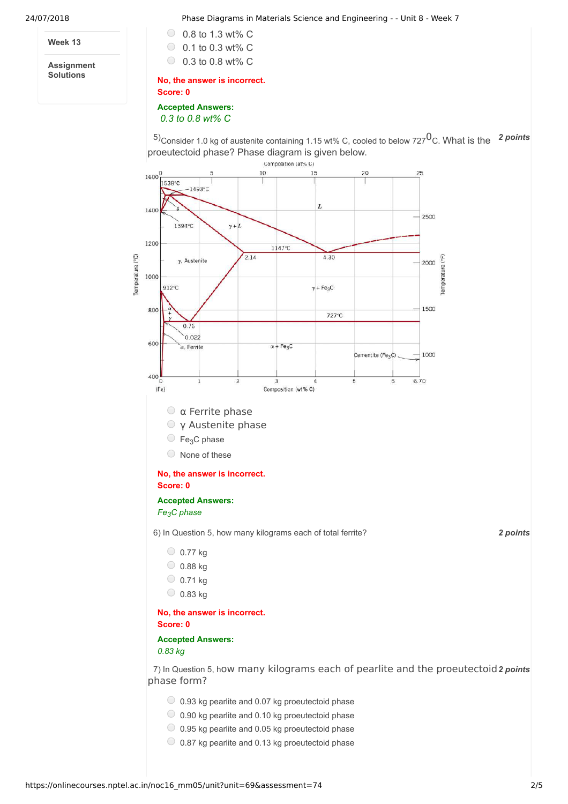**Week 13**

**Assignment Solutions**

24/07/2018 Phase Diagrams in Materials Science and Engineering - - Unit 8 - Week 7

| $\circ$ 0.8 to 1.3 wt% C |
|--------------------------|
| $\circ$ 0.1 to 0.3 wt% C |
| $\circ$ 0.3 to 0.8 wt% C |

**No, the answer is incorrect.**

**Score: 0**

**Accepted Answers:** *0.3 to 0.8 wt% C*

<sup>5)</sup> Consider 1.0 kg of austenite containing 1.15 wt% C, cooled to below 727<sup>0</sup>C. What is the <sup>2</sup> points proeutectoid phase? Phase diagram is given below.



0.87 kg pearlite and 0.13 kg proeutectoid phase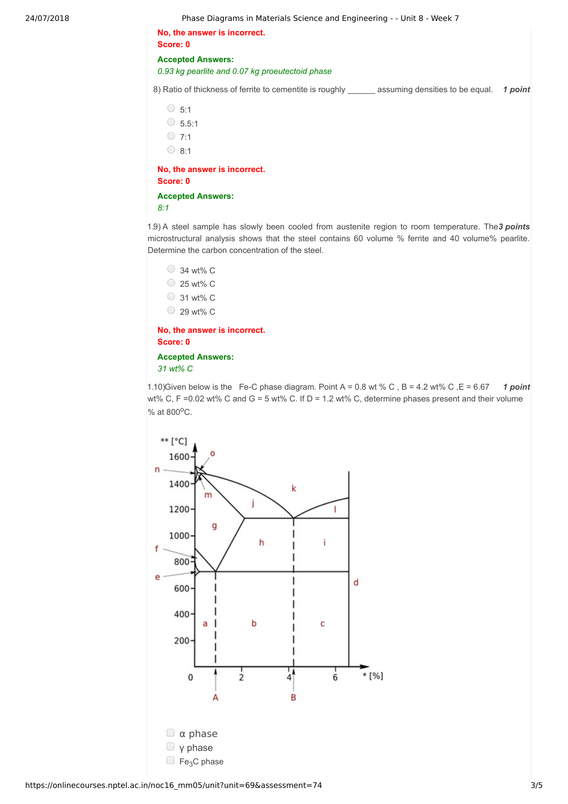24/07/2018 Phase Diagrams in Materials Science and Engineering - - Unit 8 - Week 7

**No, the answer is incorrect. Score: 0**

**Accepted Answers:**

*0.93 kg pearlite and 0.07 kg proeutectoid phase*

8) Ratio of thickness of ferrite to cementite is roughly assuming densities to be equal. 1 point

 $\circ$  5:1  $\circ$  5.5:1  $\circ$  7:1  $\bigcirc$  8:1

**No, the answer is incorrect. Score: 0**

**Accepted Answers:** *8:1*

1.9) A steel sample has slowly been cooled from austenite region to room temperature. The 3 points microstructural analysis shows that the steel contains 60 volume % ferrite and 40 volume% pearlite. Determine the carbon concentration of the steel.

```
\bigcirc 34 wt% C
\circ 25 wt% C
\circ 31 wt% C
\circ 29 wt% C
```
**No, the answer is incorrect. Score: 0**

**Accepted Answers:** *31 wt% C*

1.10) Given below is the Fe-C phase diagram. Point  $A = 0.8$  wt % C, B = 4.2 wt % C, E = 6.67 1 point wt% C,  $F = 0.02$  wt% C and G = 5 wt% C. If D = 1.2 wt% C, determine phases present and their volume % at 800°C.

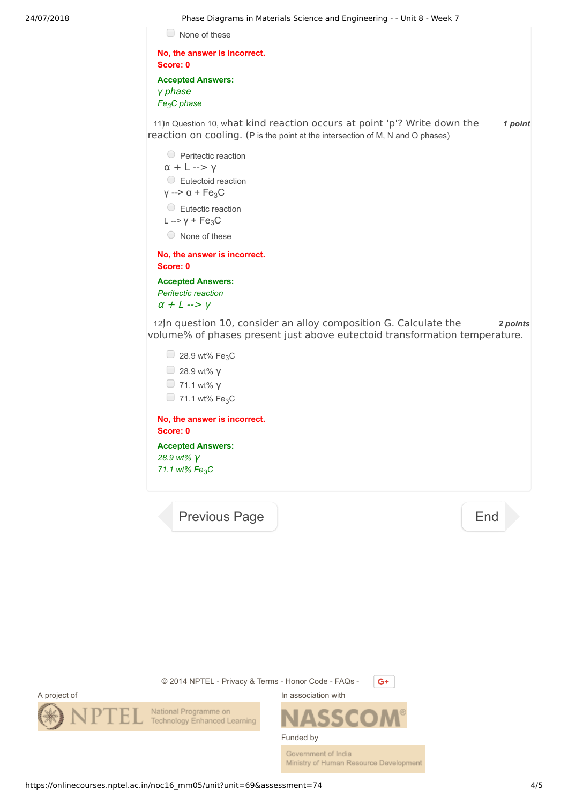24/07/2018 Phase Diagrams in Materials Science and Engineering - - Unit 8 - Week 7 11)n Question 10, what kind reaction occurs at point 'p'? Write down the 1 point 12) n question 10, consider an alloy composition G. Calculate the 2 *points* None of these **No, the answer is incorrect. Score: 0 Accepted Answers:** *γ phase Fe3C phase* reaction on cooling. (P is the point at the intersection of M, N and O phases) **Peritectic reaction** α + L --> γ Eutectoid reaction  $y \rightarrow \alpha + Fe_3C$ Eutectic reaction L  $\rightarrow$  Y + Fe<sub>3</sub>C None of these **No, the answer is incorrect. Score: 0 Accepted Answers:** *Peritectic reaction*  $\alpha$  + L -->  $\gamma$ volume% of phases present just above eutectoid transformation temperature.  $\Box$  28.9 wt% Fe<sub>3</sub>C 28.9 wt% γ 71.1 wt% γ  $\Box$  71.1 wt% Fe<sub>3</sub>C **No, the answer is incorrect. Score: 0 Accepted Answers:** *28.9 wt%* γ *71.1 wt% Fe3C* [Previous Page](https://onlinecourses.nptel.ac.in/noc16_mm05/unit?unit=69&lesson=73) **[End](https://onlinecourses.nptel.ac.in/noc16_mm05/course)**